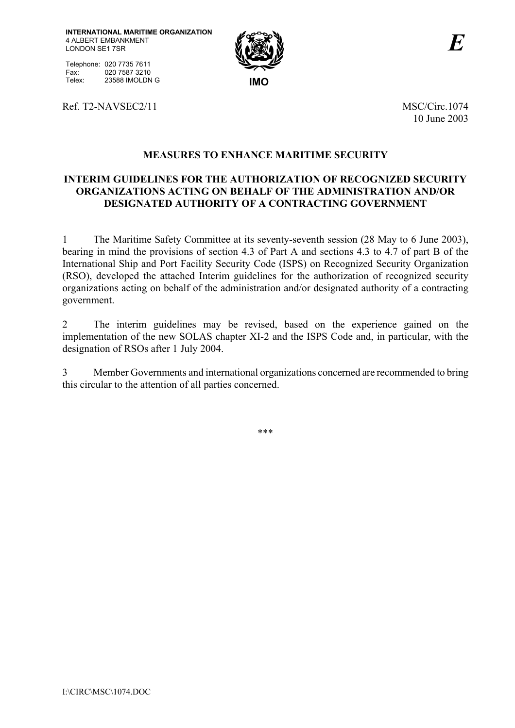Telephone: 020 7735 7611<br>Fax: 020 7587 3210 Fax: 020 7587 3210 Telex: 23588 IMOLDN G **IMO** 



Ref. T2-NAVSEC2/11 MSC/Circ.1074

10 June 2003

# **MEASURES TO ENHANCE MARITIME SECURITY**

### **INTERIM GUIDELINES FOR THE AUTHORIZATION OF RECOGNIZED SECURITY ORGANIZATIONS ACTING ON BEHALF OF THE ADMINISTRATION AND/OR DESIGNATED AUTHORITY OF A CONTRACTING GOVERNMENT**

1 The Maritime Safety Committee at its seventy-seventh session (28 May to 6 June 2003), bearing in mind the provisions of section 4.3 of Part A and sections 4.3 to 4.7 of part B of the International Ship and Port Facility Security Code (ISPS) on Recognized Security Organization (RSO), developed the attached Interim guidelines for the authorization of recognized security organizations acting on behalf of the administration and/or designated authority of a contracting government.

2 The interim guidelines may be revised, based on the experience gained on the implementation of the new SOLAS chapter XI-2 and the ISPS Code and, in particular, with the designation of RSOs after 1 July 2004.

3 Member Governments and international organizations concerned are recommended to bring this circular to the attention of all parties concerned.

\*\*\*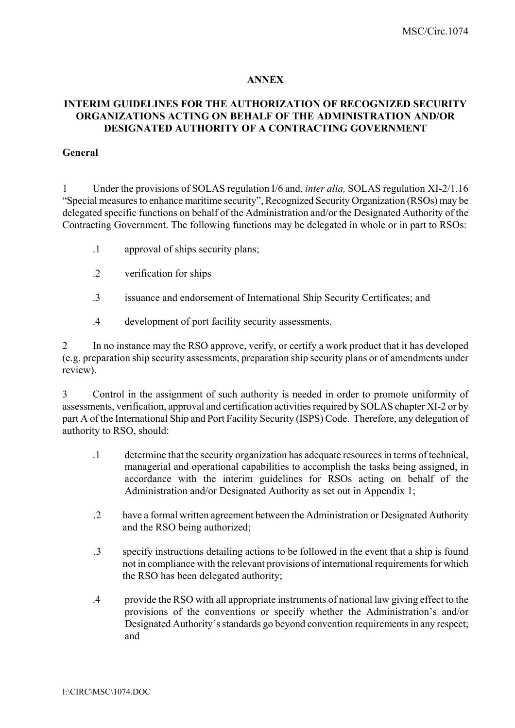#### **ANNEX**

#### **INTERIM GUIDELINES FOR THE AUTHORIZATION OF RECOGNIZED SECURITY ORGANIZATIONS ACTING ON BEHALF OF THE ADMINISTRATION AND/OR DESIGNATED AUTHORITY OF A CONTRACTING GOVERNMENT**

#### **General**

1 Under the provisions of SOLAS regulation I/6 and, *inter alia,* SOLAS regulation XI-2/1.16 ìSpecial measures to enhance maritime securityî, Recognized Security Organization (RSOs) may be delegated specific functions on behalf of the Administration and/or the Designated Authority of the Contracting Government. The following functions may be delegated in whole or in part to RSOs:

- .1 approval of ships security plans;
- .2 verification for ships
- .3 issuance and endorsement of International Ship Security Certificates; and
- .4 development of port facility security assessments.

2 In no instance may the RSO approve, verify, or certify a work product that it has developed (e.g. preparation ship security assessments, preparation ship security plans or of amendments under review).

3 Control in the assignment of such authority is needed in order to promote uniformity of assessments, verification, approval and certification activities required by SOLAS chapter XI-2 or by part A of the International Ship and Port Facility Security (ISPS) Code. Therefore, any delegation of authority to RSO, should:

- .1 determine that the security organization has adequate resources in terms of technical, managerial and operational capabilities to accomplish the tasks being assigned, in accordance with the interim guidelines for RSOs acting on behalf of the Administration and/or Designated Authority as set out in Appendix 1;
- .2 have a formal written agreement between the Administration or Designated Authority and the RSO being authorized;
- .3 specify instructions detailing actions to be followed in the event that a ship is found not in compliance with the relevant provisions of international requirements for which the RSO has been delegated authority;
- .4 provide the RSO with all appropriate instruments of national law giving effect to the provisions of the conventions or specify whether the Administration's and/or Designated Authority's standards go beyond convention requirements in any respect; and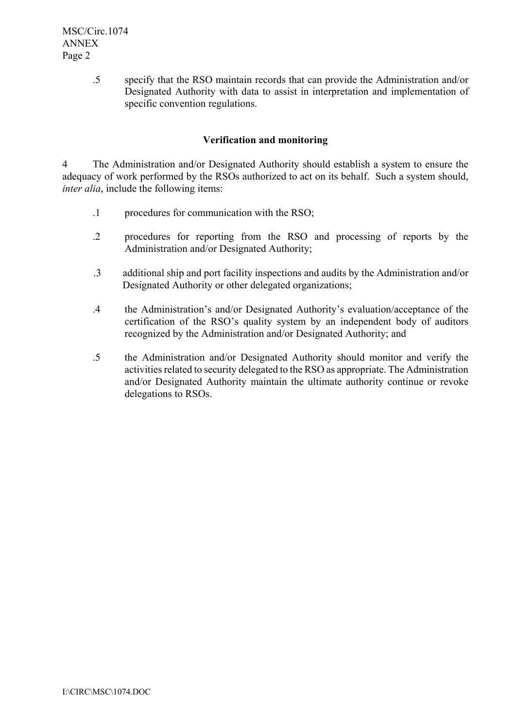.5 specify that the RSO maintain records that can provide the Administration and/or Designated Authority with data to assist in interpretation and implementation of specific convention regulations.

#### **Verification and monitoring**

4 The Administration and/or Designated Authority should establish a system to ensure the adequacy of work performed by the RSOs authorized to act on its behalf. Such a system should, *inter alia*, include the following items:

- .1 procedures for communication with the RSO;
- .2 procedures for reporting from the RSO and processing of reports by the Administration and/or Designated Authority;
- .3 additional ship and port facility inspections and audits by the Administration and/or Designated Authority or other delegated organizations;
- .4 the Administration's and/or Designated Authority's evaluation/acceptance of the certification of the RSO's quality system by an independent body of auditors recognized by the Administration and/or Designated Authority; and
- .5 the Administration and/or Designated Authority should monitor and verify the activities related to security delegated to the RSO as appropriate. The Administration and/or Designated Authority maintain the ultimate authority continue or revoke delegations to RSOs.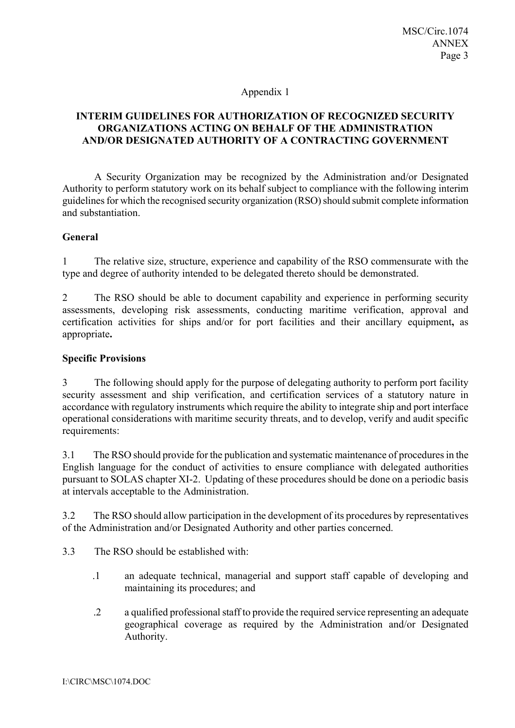#### Appendix 1

## **INTERIM GUIDELINES FOR AUTHORIZATION OF RECOGNIZED SECURITY ORGANIZATIONS ACTING ON BEHALF OF THE ADMINISTRATION AND/OR DESIGNATED AUTHORITY OF A CONTRACTING GOVERNMENT**

 A Security Organization may be recognized by the Administration and/or Designated Authority to perform statutory work on its behalf subject to compliance with the following interim guidelines for which the recognised security organization (RSO) should submit complete information and substantiation.

#### **General**

1 The relative size, structure, experience and capability of the RSO commensurate with the type and degree of authority intended to be delegated thereto should be demonstrated.

2 The RSO should be able to document capability and experience in performing security assessments, developing risk assessments, conducting maritime verification, approval and certification activities for ships and/or for port facilities and their ancillary equipment**,** as appropriate**.** 

#### **Specific Provisions**

3 The following should apply for the purpose of delegating authority to perform port facility security assessment and ship verification, and certification services of a statutory nature in accordance with regulatory instruments which require the ability to integrate ship and port interface operational considerations with maritime security threats, and to develop, verify and audit specific requirements:

3.1 The RSO should provide for the publication and systematic maintenance of proceduresin the English language for the conduct of activities to ensure compliance with delegated authorities pursuant to SOLAS chapter XI-2. Updating of these procedures should be done on a periodic basis at intervals acceptable to the Administration.

3.2 The RSO should allow participation in the development of its procedures by representatives of the Administration and/or Designated Authority and other parties concerned.

- 3.3 The RSO should be established with:
	- .1 an adequate technical, managerial and support staff capable of developing and maintaining its procedures; and
	- .2 a qualified professional staff to provide the required service representing an adequate geographical coverage as required by the Administration and/or Designated Authority.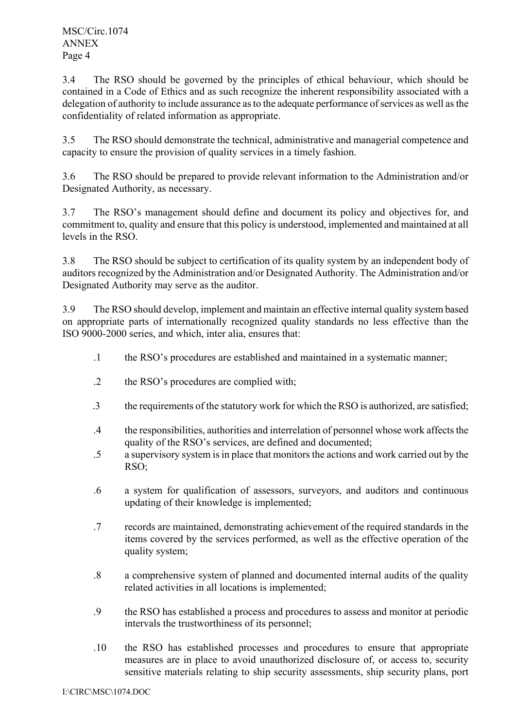MSC/Circ.1074 ANNEX Page 4

3.4 The RSO should be governed by the principles of ethical behaviour, which should be contained in a Code of Ethics and as such recognize the inherent responsibility associated with a delegation of authority to include assurance as to the adequate performance of services as well as the confidentiality of related information as appropriate.

3.5 The RSO should demonstrate the technical, administrative and managerial competence and capacity to ensure the provision of quality services in a timely fashion.

3.6 The RSO should be prepared to provide relevant information to the Administration and/or Designated Authority, as necessary.

3.7 The RSO's management should define and document its policy and objectives for, and commitment to, quality and ensure that this policy is understood, implemented and maintained at all levels in the RSO.

3.8 The RSO should be subject to certification of its quality system by an independent body of auditors recognized by the Administration and/or Designated Authority. The Administration and/or Designated Authority may serve as the auditor.

3.9 The RSO should develop, implement and maintain an effective internal quality system based on appropriate parts of internationally recognized quality standards no less effective than the ISO 9000-2000 series, and which, inter alia, ensures that:

- .1 the RSOís procedures are established and maintained in a systematic manner;
- .2 the RSO's procedures are complied with;
- .3 the requirements of the statutory work for which the RSO is authorized, are satisfied;
- .4 the responsibilities, authorities and interrelation of personnel whose work affects the quality of the RSO's services, are defined and documented;
- .5 a supervisory system is in place that monitors the actions and work carried out by the RSO;
- .6 a system for qualification of assessors, surveyors, and auditors and continuous updating of their knowledge is implemented;
- .7 records are maintained, demonstrating achievement of the required standards in the items covered by the services performed, as well as the effective operation of the quality system;
- .8 a comprehensive system of planned and documented internal audits of the quality related activities in all locations is implemented;
- .9 the RSO has established a process and procedures to assess and monitor at periodic intervals the trustworthiness of its personnel;
- .10 the RSO has established processes and procedures to ensure that appropriate measures are in place to avoid unauthorized disclosure of, or access to, security sensitive materials relating to ship security assessments, ship security plans, port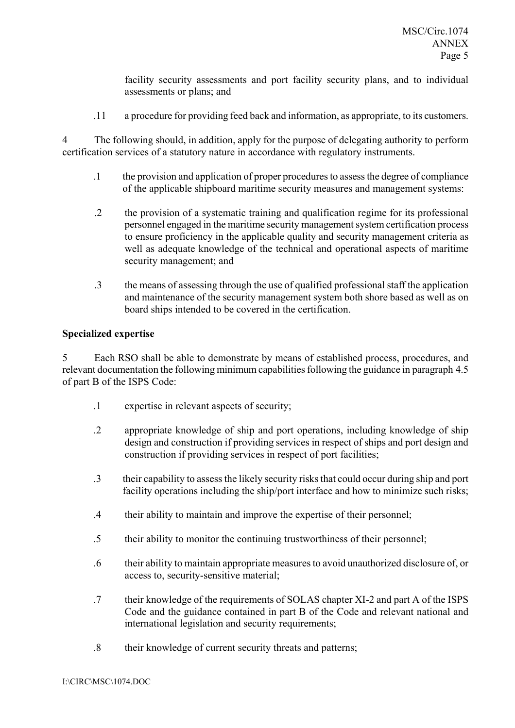facility security assessments and port facility security plans, and to individual assessments or plans; and

.11 a procedure for providing feed back and information, as appropriate, to its customers.

4 The following should, in addition, apply for the purpose of delegating authority to perform certification services of a statutory nature in accordance with regulatory instruments.

- .1 the provision and application of proper procedures to assess the degree of compliance of the applicable shipboard maritime security measures and management systems:
- .2 the provision of a systematic training and qualification regime for its professional personnel engaged in the maritime security management system certification process to ensure proficiency in the applicable quality and security management criteria as well as adequate knowledge of the technical and operational aspects of maritime security management; and
- .3 the means of assessing through the use of qualified professional staff the application and maintenance of the security management system both shore based as well as on board ships intended to be covered in the certification.

#### **Specialized expertise**

5 Each RSO shall be able to demonstrate by means of established process, procedures, and relevant documentation the following minimum capabilities following the guidance in paragraph 4.5 of part B of the ISPS Code:

- .1 expertise in relevant aspects of security;
- .2 appropriate knowledge of ship and port operations, including knowledge of ship design and construction if providing services in respect of ships and port design and construction if providing services in respect of port facilities;
- .3 their capability to assess the likely security risks that could occur during ship and port facility operations including the ship/port interface and how to minimize such risks;
- .4 their ability to maintain and improve the expertise of their personnel;
- .5 their ability to monitor the continuing trustworthiness of their personnel;
- .6 their ability to maintain appropriate measures to avoid unauthorized disclosure of, or access to, security-sensitive material;
- .7 their knowledge of the requirements of SOLAS chapter XI-2 and part A of the ISPS Code and the guidance contained in part B of the Code and relevant national and international legislation and security requirements;
- .8 their knowledge of current security threats and patterns;